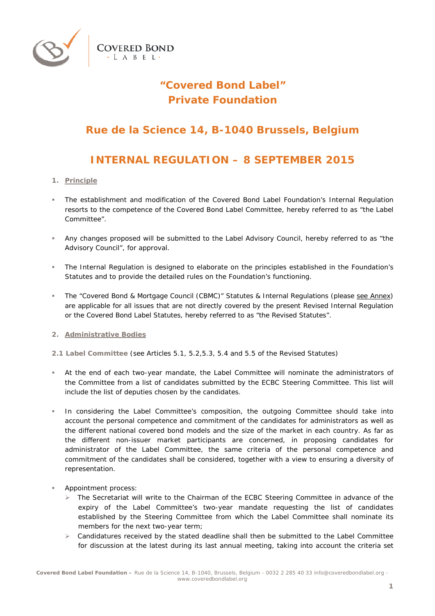

# **"Covered Bond Label" Private Foundation**

### **Rue de la Science 14, B-1040 Brussels, Belgium**

## **INTERNAL REGULATION – 8 SEPTEMBER 2015**

- **1. Principle**
- The establishment and modification of the Covered Bond Label Foundation's Internal Regulation resorts to the competence of the Covered Bond Label Committee, hereby referred to as "the Label Committee".
- Any changes proposed will be submitted to the Label Advisory Council, hereby referred to as "the Advisory Council", for approval.
- The Internal Regulation is designed to elaborate on the principles established in the Foundation's Statutes and to provide the detailed rules on the Foundation's functioning.
- The "Covered Bond & Mortgage Council (CBMC)" Statutes & Internal Regulations (please see *Annex*) are applicable for all issues that are not directly covered by the present Revised Internal Regulation or the Covered Bond Label Statutes, hereby referred to as "the Revised Statutes".
- **2. Administrative Bodies**
- **2.1 Label Committee** (see Articles 5.1, 5.2,5.3, 5.4 and 5.5 of the Revised Statutes)
- At the end of each two-year mandate, the Label Committee will nominate the administrators of the Committee from a list of candidates submitted by the ECBC Steering Committee. This list will include the list of deputies chosen by the candidates.
- In considering the Label Committee's composition, the outgoing Committee should take into account the personal competence and commitment of the candidates for administrators as well as the different national covered bond models and the size of the market in each country. As far as the different non-issuer market participants are concerned, in proposing candidates for administrator of the Label Committee, the same criteria of the personal competence and commitment of the candidates shall be considered, together with a view to ensuring a diversity of representation.
- Appointment process:
	- $\triangleright$  The Secretariat will write to the Chairman of the ECBC Steering Committee in advance of the expiry of the Label Committee's two-year mandate requesting the list of candidates established by the Steering Committee from which the Label Committee shall nominate its members for the next two-year term;
	- $\triangleright$  Candidatures received by the stated deadline shall then be submitted to the Label Committee for discussion at the latest during its last annual meeting, taking into account the criteria set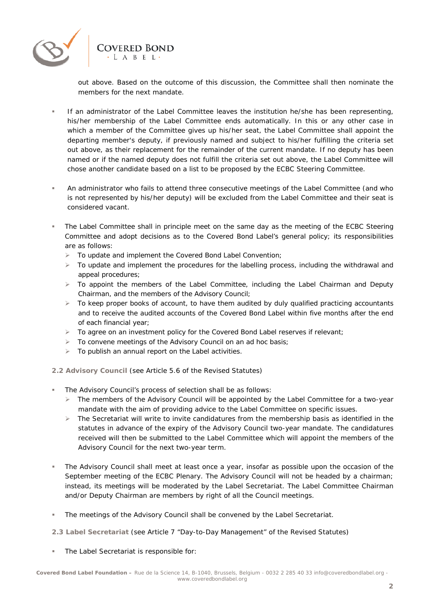

out above. Based on the outcome of this discussion, the Committee shall then nominate the members for the next mandate.

- If an administrator of the Label Committee leaves the institution he/she has been representing, his/her membership of the Label Committee ends automatically. In this or any other case in which a member of the Committee gives up his/her seat, the Label Committee shall appoint the departing member's deputy, if previously named and subject to his/her fulfilling the criteria set out above, as their replacement for the remainder of the current mandate. If no deputy has been named or if the named deputy does not fulfill the criteria set out above, the Label Committee will chose another candidate based on a list to be proposed by the ECBC Steering Committee.
- An administrator who fails to attend three consecutive meetings of the Label Committee (and who is not represented by his/her deputy) will be excluded from the Label Committee and their seat is considered vacant.
- The Label Committee shall in principle meet on the same day as the meeting of the ECBC Steering Committee and adopt decisions as to the Covered Bond Label's general policy; its responsibilities are as follows:
	- To update and implement the Covered Bond Label Convention;
	- $\triangleright$  To update and implement the procedures for the labelling process, including the withdrawal and appeal procedures;
	- $\triangleright$  To appoint the members of the Label Committee, including the Label Chairman and Deputy Chairman, and the members of the Advisory Council;
	- $\triangleright$  To keep proper books of account, to have them audited by duly qualified practicing accountants and to receive the audited accounts of the Covered Bond Label within five months after the end of each financial year;
	- To agree on an investment policy for the Covered Bond Label reserves if relevant;
	- $\triangleright$  To convene meetings of the Advisory Council on an ad hoc basis;
	- $\triangleright$  To publish an annual report on the Label activities.

**2.2 Advisory Council** (see Article 5.6 of the Revised Statutes)

- The Advisory Council's process of selection shall be as follows:
	- $\triangleright$  The members of the Advisory Council will be appointed by the Label Committee for a two-year mandate with the aim of providing advice to the Label Committee on specific issues.
	- $\triangleright$  The Secretariat will write to invite candidatures from the membership basis as identified in the statutes in advance of the expiry of the Advisory Council two-year mandate. The candidatures received will then be submitted to the Label Committee which will appoint the members of the Advisory Council for the next two-year term.
- The Advisory Council shall meet at least once a year, insofar as possible upon the occasion of the September meeting of the ECBC Plenary. The Advisory Council will not be headed by a chairman; instead, its meetings will be moderated by the Label Secretariat. The Label Committee Chairman and/or Deputy Chairman are members by right of all the Council meetings.
- **The meetings of the Advisory Council shall be convened by the Label Secretariat.**

**2.3 Label Secretariat** (see Article 7 "Day-to-Day Management" of the Revised Statutes)

**The Label Secretariat is responsible for:**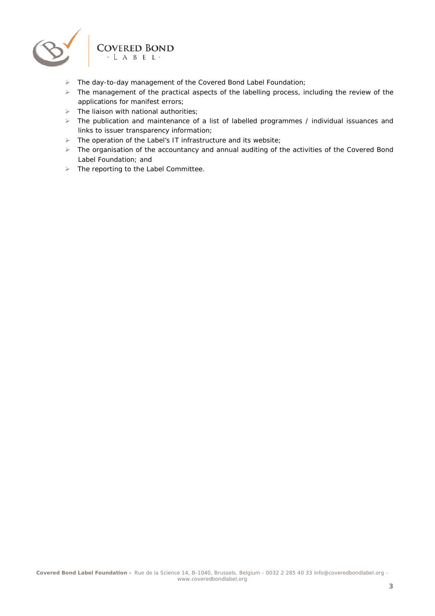

- The day-to-day management of the Covered Bond Label Foundation;
- > The management of the practical aspects of the labelling process, including the review of the applications for manifest errors;
- $\triangleright$  The liaison with national authorities;
- $\triangleright$  The publication and maintenance of a list of labelled programmes / individual issuances and links to issuer transparency information;
- $\triangleright$  The operation of the Label's IT infrastructure and its website;
- $\triangleright$  The organisation of the accountancy and annual auditing of the activities of the Covered Bond Label Foundation; and
- $\triangleright$  The reporting to the Label Committee.